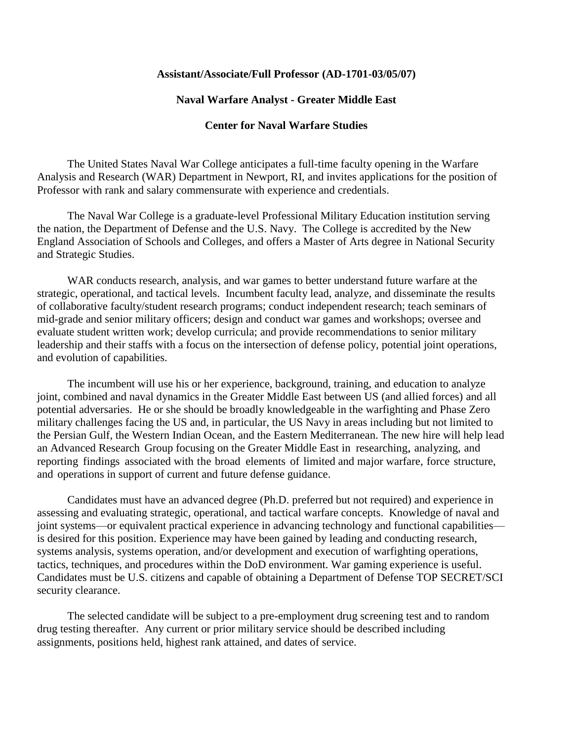## **Assistant/Associate/Full Professor (AD-1701-03/05/07)**

## **Naval Warfare Analyst - Greater Middle East**

## **Center for Naval Warfare Studies**

The United States Naval War College anticipates a full-time faculty opening in the Warfare Analysis and Research (WAR) Department in Newport, RI, and invites applications for the position of Professor with rank and salary commensurate with experience and credentials.

The Naval War College is a graduate-level Professional Military Education institution serving the nation, the Department of Defense and the U.S. Navy. The College is accredited by the New England Association of Schools and Colleges, and offers a Master of Arts degree in National Security and Strategic Studies.

WAR conducts research, analysis, and war games to better understand future warfare at the strategic, operational, and tactical levels. Incumbent faculty lead, analyze, and disseminate the results of collaborative faculty/student research programs; conduct independent research; teach seminars of mid-grade and senior military officers; design and conduct war games and workshops; oversee and evaluate student written work; develop curricula; and provide recommendations to senior military leadership and their staffs with a focus on the intersection of defense policy, potential joint operations, and evolution of capabilities.

The incumbent will use his or her experience, background, training, and education to analyze joint, combined and naval dynamics in the Greater Middle East between US (and allied forces) and all potential adversaries. He or she should be broadly knowledgeable in the warfighting and Phase Zero military challenges facing the US and, in particular, the US Navy in areas including but not limited to the Persian Gulf, the Western Indian Ocean, and the Eastern Mediterranean. The new hire will help lead an Advanced Research Group focusing on the Greater Middle East in researching, analyzing, and reporting findings associated with the broad elements of limited and major warfare, force structure, and operations in support of current and future defense guidance.

Candidates must have an advanced degree (Ph.D. preferred but not required) and experience in assessing and evaluating strategic, operational, and tactical warfare concepts. Knowledge of naval and joint systems—or equivalent practical experience in advancing technology and functional capabilities is desired for this position. Experience may have been gained by leading and conducting research, systems analysis, systems operation, and/or development and execution of warfighting operations, tactics, techniques, and procedures within the DoD environment. War gaming experience is useful. Candidates must be U.S. citizens and capable of obtaining a Department of Defense TOP SECRET/SCI security clearance.

The selected candidate will be subject to a pre-employment drug screening test and to random drug testing thereafter. Any current or prior military service should be described including assignments, positions held, highest rank attained, and dates of service.